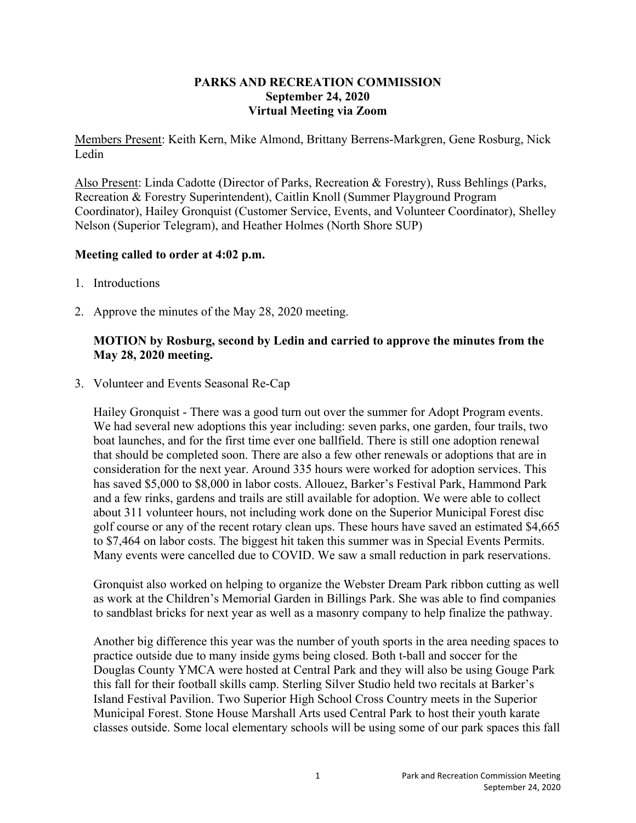#### **PARKS AND RECREATION COMMISSION September 24, 2020 Virtual Meeting via Zoom**

Members Present: Keith Kern, Mike Almond, Brittany Berrens-Markgren, Gene Rosburg, Nick Ledin

Also Present: Linda Cadotte (Director of Parks, Recreation & Forestry), Russ Behlings (Parks, Recreation & Forestry Superintendent), Caitlin Knoll (Summer Playground Program Coordinator), Hailey Gronquist (Customer Service, Events, and Volunteer Coordinator), Shelley Nelson (Superior Telegram), and Heather Holmes (North Shore SUP)

#### **Meeting called to order at 4:02 p.m.**

- 1. Introductions
- 2. Approve the minutes of the May 28, 2020 meeting.

## **MOTION by Rosburg, second by Ledin and carried to approve the minutes from the May 28, 2020 meeting.**

3. Volunteer and Events Seasonal Re-Cap

Hailey Gronquist - There was a good turn out over the summer for Adopt Program events. We had several new adoptions this year including: seven parks, one garden, four trails, two boat launches, and for the first time ever one ballfield. There is still one adoption renewal that should be completed soon. There are also a few other renewals or adoptions that are in consideration for the next year. Around 335 hours were worked for adoption services. This has saved \$5,000 to \$8,000 in labor costs. Allouez, Barker's Festival Park, Hammond Park and a few rinks, gardens and trails are still available for adoption. We were able to collect about 311 volunteer hours, not including work done on the Superior Municipal Forest disc golf course or any of the recent rotary clean ups. These hours have saved an estimated \$4,665 to \$7,464 on labor costs. The biggest hit taken this summer was in Special Events Permits. Many events were cancelled due to COVID. We saw a small reduction in park reservations.

Gronquist also worked on helping to organize the Webster Dream Park ribbon cutting as well as work at the Children's Memorial Garden in Billings Park. She was able to find companies to sandblast bricks for next year as well as a masonry company to help finalize the pathway.

Another big difference this year was the number of youth sports in the area needing spaces to practice outside due to many inside gyms being closed. Both t-ball and soccer for the Douglas County YMCA were hosted at Central Park and they will also be using Gouge Park this fall for their football skills camp. Sterling Silver Studio held two recitals at Barker's Island Festival Pavilion. Two Superior High School Cross Country meets in the Superior Municipal Forest. Stone House Marshall Arts used Central Park to host their youth karate classes outside. Some local elementary schools will be using some of our park spaces this fall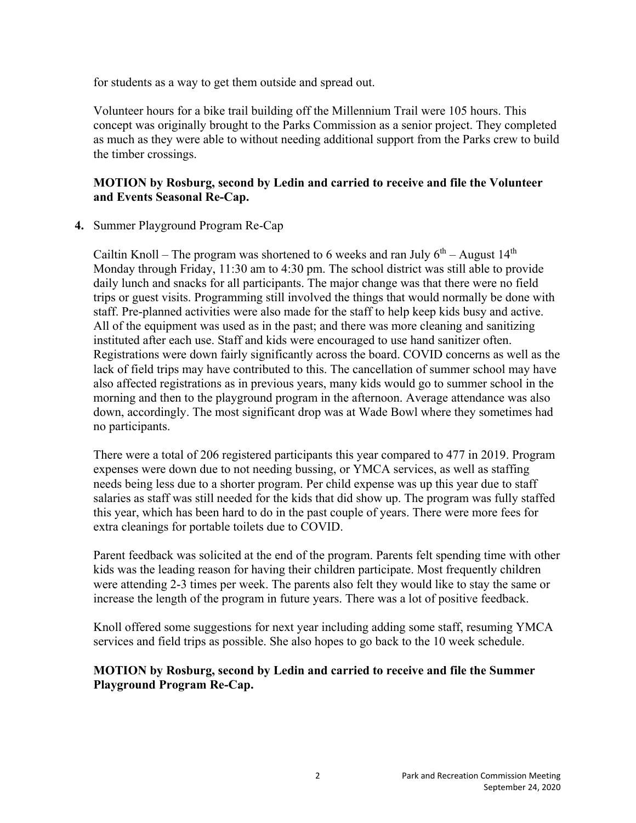for students as a way to get them outside and spread out.

Volunteer hours for a bike trail building off the Millennium Trail were 105 hours. This concept was originally brought to the Parks Commission as a senior project. They completed as much as they were able to without needing additional support from the Parks crew to build the timber crossings.

## **MOTION by Rosburg, second by Ledin and carried to receive and file the Volunteer and Events Seasonal Re-Cap.**

# **4.** Summer Playground Program Re-Cap

Cailtin Knoll – The program was shortened to 6 weeks and ran July  $6<sup>th</sup>$  – August 14<sup>th</sup> Monday through Friday, 11:30 am to 4:30 pm. The school district was still able to provide daily lunch and snacks for all participants. The major change was that there were no field trips or guest visits. Programming still involved the things that would normally be done with staff. Pre-planned activities were also made for the staff to help keep kids busy and active. All of the equipment was used as in the past; and there was more cleaning and sanitizing instituted after each use. Staff and kids were encouraged to use hand sanitizer often. Registrations were down fairly significantly across the board. COVID concerns as well as the lack of field trips may have contributed to this. The cancellation of summer school may have also affected registrations as in previous years, many kids would go to summer school in the morning and then to the playground program in the afternoon. Average attendance was also down, accordingly. The most significant drop was at Wade Bowl where they sometimes had no participants.

There were a total of 206 registered participants this year compared to 477 in 2019. Program expenses were down due to not needing bussing, or YMCA services, as well as staffing needs being less due to a shorter program. Per child expense was up this year due to staff salaries as staff was still needed for the kids that did show up. The program was fully staffed this year, which has been hard to do in the past couple of years. There were more fees for extra cleanings for portable toilets due to COVID.

Parent feedback was solicited at the end of the program. Parents felt spending time with other kids was the leading reason for having their children participate. Most frequently children were attending 2-3 times per week. The parents also felt they would like to stay the same or increase the length of the program in future years. There was a lot of positive feedback.

Knoll offered some suggestions for next year including adding some staff, resuming YMCA services and field trips as possible. She also hopes to go back to the 10 week schedule.

# **MOTION by Rosburg, second by Ledin and carried to receive and file the Summer Playground Program Re-Cap.**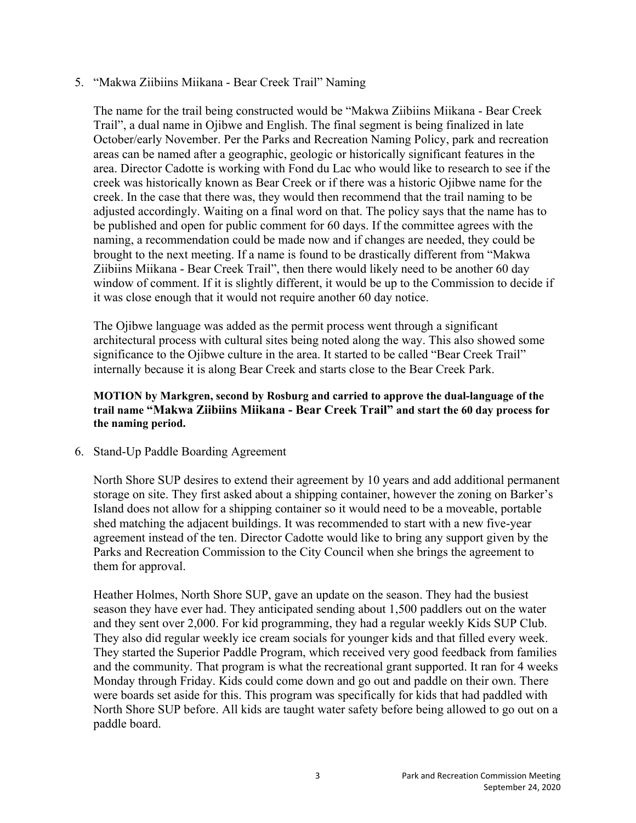#### 5. "Makwa Ziibiins Miikana - Bear Creek Trail" Naming

The name for the trail being constructed would be "Makwa Ziibiins Miikana - Bear Creek Trail", a dual name in Ojibwe and English. The final segment is being finalized in late October/early November. Per the Parks and Recreation Naming Policy, park and recreation areas can be named after a geographic, geologic or historically significant features in the area. Director Cadotte is working with Fond du Lac who would like to research to see if the creek was historically known as Bear Creek or if there was a historic Ojibwe name for the creek. In the case that there was, they would then recommend that the trail naming to be adjusted accordingly. Waiting on a final word on that. The policy says that the name has to be published and open for public comment for 60 days. If the committee agrees with the naming, a recommendation could be made now and if changes are needed, they could be brought to the next meeting. If a name is found to be drastically different from "Makwa Ziibiins Miikana - Bear Creek Trail", then there would likely need to be another 60 day window of comment. If it is slightly different, it would be up to the Commission to decide if it was close enough that it would not require another 60 day notice.

The Ojibwe language was added as the permit process went through a significant architectural process with cultural sites being noted along the way. This also showed some significance to the Ojibwe culture in the area. It started to be called "Bear Creek Trail" internally because it is along Bear Creek and starts close to the Bear Creek Park.

#### **MOTION by Markgren, second by Rosburg and carried to approve the dual-language of the trail name "Makwa Ziibiins Miikana - Bear Creek Trail" and start the 60 day process for the naming period.**

6. Stand-Up Paddle Boarding Agreement

North Shore SUP desires to extend their agreement by 10 years and add additional permanent storage on site. They first asked about a shipping container, however the zoning on Barker's Island does not allow for a shipping container so it would need to be a moveable, portable shed matching the adjacent buildings. It was recommended to start with a new five-year agreement instead of the ten. Director Cadotte would like to bring any support given by the Parks and Recreation Commission to the City Council when she brings the agreement to them for approval.

Heather Holmes, North Shore SUP, gave an update on the season. They had the busiest season they have ever had. They anticipated sending about 1,500 paddlers out on the water and they sent over 2,000. For kid programming, they had a regular weekly Kids SUP Club. They also did regular weekly ice cream socials for younger kids and that filled every week. They started the Superior Paddle Program, which received very good feedback from families and the community. That program is what the recreational grant supported. It ran for 4 weeks Monday through Friday. Kids could come down and go out and paddle on their own. There were boards set aside for this. This program was specifically for kids that had paddled with North Shore SUP before. All kids are taught water safety before being allowed to go out on a paddle board.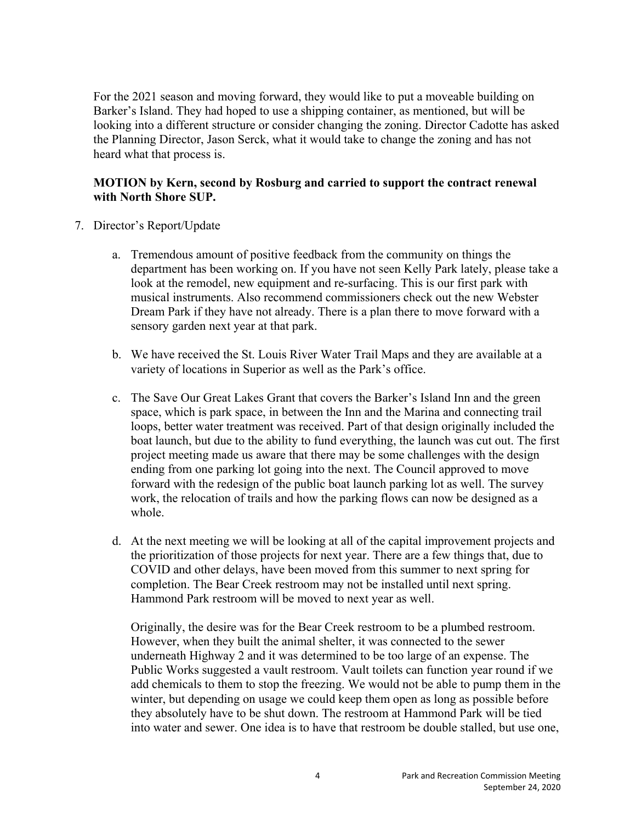For the 2021 season and moving forward, they would like to put a moveable building on Barker's Island. They had hoped to use a shipping container, as mentioned, but will be looking into a different structure or consider changing the zoning. Director Cadotte has asked the Planning Director, Jason Serck, what it would take to change the zoning and has not heard what that process is.

### **MOTION by Kern, second by Rosburg and carried to support the contract renewal with North Shore SUP.**

- 7. Director's Report/Update
	- a. Tremendous amount of positive feedback from the community on things the department has been working on. If you have not seen Kelly Park lately, please take a look at the remodel, new equipment and re-surfacing. This is our first park with musical instruments. Also recommend commissioners check out the new Webster Dream Park if they have not already. There is a plan there to move forward with a sensory garden next year at that park.
	- b. We have received the St. Louis River Water Trail Maps and they are available at a variety of locations in Superior as well as the Park's office.
	- c. The Save Our Great Lakes Grant that covers the Barker's Island Inn and the green space, which is park space, in between the Inn and the Marina and connecting trail loops, better water treatment was received. Part of that design originally included the boat launch, but due to the ability to fund everything, the launch was cut out. The first project meeting made us aware that there may be some challenges with the design ending from one parking lot going into the next. The Council approved to move forward with the redesign of the public boat launch parking lot as well. The survey work, the relocation of trails and how the parking flows can now be designed as a whole.
	- d. At the next meeting we will be looking at all of the capital improvement projects and the prioritization of those projects for next year. There are a few things that, due to COVID and other delays, have been moved from this summer to next spring for completion. The Bear Creek restroom may not be installed until next spring. Hammond Park restroom will be moved to next year as well.

Originally, the desire was for the Bear Creek restroom to be a plumbed restroom. However, when they built the animal shelter, it was connected to the sewer underneath Highway 2 and it was determined to be too large of an expense. The Public Works suggested a vault restroom. Vault toilets can function year round if we add chemicals to them to stop the freezing. We would not be able to pump them in the winter, but depending on usage we could keep them open as long as possible before they absolutely have to be shut down. The restroom at Hammond Park will be tied into water and sewer. One idea is to have that restroom be double stalled, but use one,